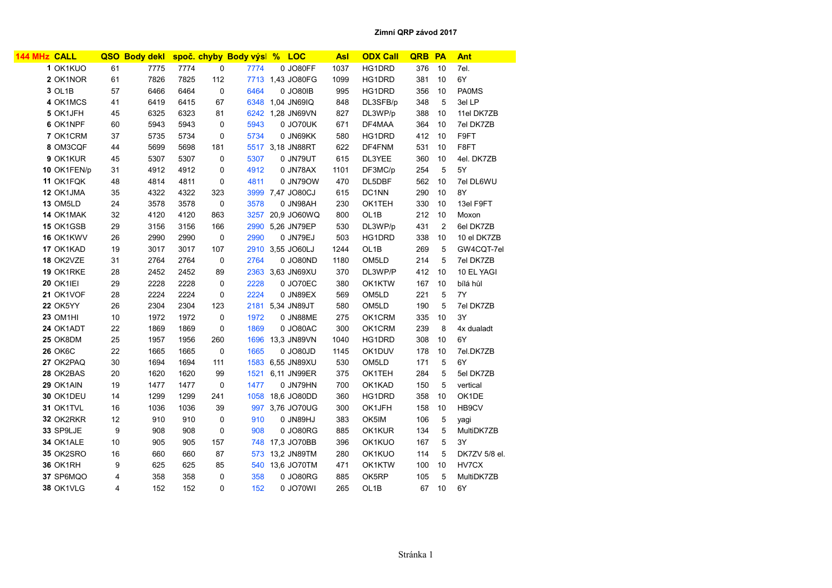| <b>144 MHz CALL</b> |    | QSO Body dekl |      |             | spoč. chyby Body výsl % LOC |                  | <b>Asl</b> | <b>ODX Call</b>   | QRB | PA             | Ant           |
|---------------------|----|---------------|------|-------------|-----------------------------|------------------|------------|-------------------|-----|----------------|---------------|
| 1 OK1KUO            | 61 | 7775          | 7774 | 0           | 7774                        | 0 JO80FF         | 1037       | HG1DRD            | 376 | 10             | 7el.          |
| 2 OK1NOR            | 61 | 7826          | 7825 | 112         |                             | 7713 1,43 JO80FG | 1099       | HG1DRD            | 381 | 10             | 6Y            |
| 3 OL1B              | 57 | 6466          | 6464 | $\mathbf 0$ | 6464                        | 0 JO80IB         | 995        | HG1DRD            | 356 | 10             | <b>PA0MS</b>  |
| 4 OK1MCS            | 41 | 6419          | 6415 | 67          |                             | 6348 1.04 JN69IQ | 848        | DL3SFB/p          | 348 | 5              | 3el LP        |
| 5 OK1JFH            | 45 | 6325          | 6323 | 81          |                             | 6242 1,28 JN69VN | 827        | DL3WP/p           | 388 | 10             | 11el DK7ZB    |
| 6 OK1NPF            | 60 | 5943          | 5943 | 0           | 5943                        | 0 JO70UK         | 671        | DF4MAA            | 364 | 10             | 7el DK7ZB     |
| 7 OK1CRM            | 37 | 5735          | 5734 | 0           | 5734                        | 0 JN69KK         | 580        | HG1DRD            | 412 | 10             | F9FT          |
| 8 OM3CQF            | 44 | 5699          | 5698 | 181         |                             | 5517 3,18 JN88RT | 622        | DF4FNM            | 531 | 10             | F8FT          |
| 9 OK1KUR            | 45 | 5307          | 5307 | 0           | 5307                        | 0 JN79UT         | 615        | DL3YEE            | 360 | 10             | 4el. DK7ZB    |
| 10 OK1FEN/p         | 31 | 4912          | 4912 | 0           | 4912                        | 0 JN78AX         | 1101       | DF3MC/p           | 254 | 5              | 5Y            |
| 11 OK1FQK           | 48 | 4814          | 4811 | 0           | 4811                        | 0 JN79OW         | 470        | DL5DBF            | 562 | 10             | 7el DL6WU     |
| 12 OK1JMA           | 35 | 4322          | 4322 | 323         |                             | 3999 7,47 JO80CJ | 615        | DC1NN             | 290 | 10             | 8Y            |
| <b>13 OM5LD</b>     | 24 | 3578          | 3578 | 0           | 3578                        | 0 JN98AH         | 230        | OK1TEH            | 330 | 10             | 13el F9FT     |
| 14 OK1MAK           | 32 | 4120          | 4120 | 863         |                             | 3257 20,9 JO60WQ | 800        | OL <sub>1</sub> B | 212 | 10             | Moxon         |
| 15 OK1GSB           | 29 | 3156          | 3156 | 166         |                             | 2990 5.26 JN79EP | 530        | DL3WP/p           | 431 | $\overline{2}$ | 6el DK7ZB     |
| 16 OK1KWV           | 26 | 2990          | 2990 | 0           | 2990                        | 0 JN79EJ         | 503        | HG1DRD            | 338 | 10             | 10 el DK7ZB   |
| 17 OK1KAD           | 19 | 3017          | 3017 | 107         |                             | 2910 3,55 JO60LJ | 1244       | OL <sub>1</sub> B | 269 | 5              | GW4CQT-7el    |
| 18 OK2VZE           | 31 | 2764          | 2764 | 0           | 2764                        | 0 JO80ND         | 1180       | OM <sub>5LD</sub> | 214 | 5              | 7el DK7ZB     |
| 19 OK1RKE           | 28 | 2452          | 2452 | 89          |                             | 2363 3.63 JN69XU | 370        | DL3WP/P           | 412 | 10             | 10 EL YAGI    |
| <b>20 OK1IEI</b>    | 29 | 2228          | 2228 | 0           | 2228                        | 0 JO70EC         | 380        | OK1KTW            | 167 | 10             | bílá hůl      |
| 21 OK1VOF           | 28 | 2224          | 2224 | $\mathbf 0$ | 2224                        | 0 JN89EX         | 569        | OM <sub>5LD</sub> | 221 | 5              | 7Y            |
| 22 OK5YY            | 26 | 2304          | 2304 | 123         |                             | 2181 5,34 JN89JT | 580        | OM <sub>5LD</sub> | 190 | 5              | 7el DK7ZB     |
| <b>23 OM1HI</b>     | 10 | 1972          | 1972 | 0           | 1972                        | 0 JN88ME         | 275        | OK1CRM            | 335 | 10             | 3Y            |
| 24 OK1ADT           | 22 | 1869          | 1869 | 0           | 1869                        | 0 JO80AC         | 300        | OK1CRM            | 239 | 8              | 4x dualadt    |
| 25 OK8DM            | 25 | 1957          | 1956 | 260         |                             | 1696 13,3 JN89VN | 1040       | HG1DRD            | 308 | 10             | 6Y            |
| <b>26 OK6C</b>      | 22 | 1665          | 1665 | $\mathbf 0$ | 1665                        | 0 JO80JD         | 1145       | OK1DUV            | 178 | 10             | 7el.DK7ZB     |
| 27 OK2PAQ           | 30 | 1694          | 1694 | 111         |                             | 1583 6,55 JN89XU | 530        | OM <sub>5LD</sub> | 171 | 5              | 6Y            |
| 28 OK2BAS           | 20 | 1620          | 1620 | 99          | 1521                        | 6,11 JN99ER      | 375        | OK1TEH            | 284 | 5              | 5el DK7ZB     |
| 29 OK1AIN           | 19 | 1477          | 1477 | 0           | 1477                        | 0 JN79HN         | 700        | OK1KAD            | 150 | 5              | vertical      |
| 30 OK1DEU           | 14 | 1299          | 1299 | 241         |                             | 1058 18,6 JO80DD | 360        | HG1DRD            | 358 | 10             | OK1DE         |
| 31 OK1TVL           | 16 | 1036          | 1036 | 39          |                             | 997 3,76 JO70UG  | 300        | OK1JFH            | 158 | 10             | HB9CV         |
| 32 OK2RKR           | 12 | 910           | 910  | $\mathbf 0$ | 910                         | <b>UHG8NL 0</b>  | 383        | OK5IM             | 106 | 5              | yagi          |
| 33 SP9LJE           | 9  | 908           | 908  | 0           | 908                         | 0 JO80RG         | 885        | OK1KUR            | 134 | 5              | MultiDK7ZB    |
| 34 OK1ALE           | 10 | 905           | 905  | 157         |                             | 748 17,3 JO70BB  | 396        | OK1KUO            | 167 | 5              | 3Y            |
| 35 OK2SRO           | 16 | 660           | 660  | 87          | 573                         | 13,2 JN89TM      | 280        | OK1KUO            | 114 | 5              | DK7ZV 5/8 el. |
| 36 OK1RH            | 9  | 625           | 625  | 85          |                             | 540 13,6 JO70TM  | 471        | OK1KTW            | 100 | 10             | HV7CX         |
| 37 SP6MQO           | 4  | 358           | 358  | 0           | 358                         | 0 JO80RG         | 885        | OK5RP             | 105 | 5              | MultiDK7ZB    |
| 38 OK1VLG           | 4  | 152           | 152  | 0           | 152                         | 0 JO70WI         | 265        | OL <sub>1</sub> B | 67  | 10             | 6Y            |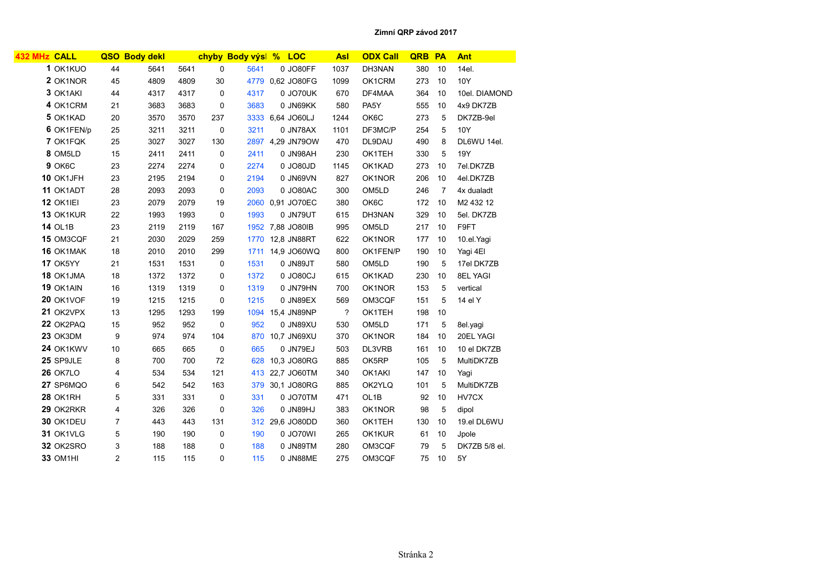| 432 MHz CALL    |                | QSO Body dekl |      |             | chyby Body výsl % LOC |                  | <b>Asl</b> | <b>ODX Call</b>   | <b>QRB</b> | PA             | <b>Ant</b>    |
|-----------------|----------------|---------------|------|-------------|-----------------------|------------------|------------|-------------------|------------|----------------|---------------|
| 1 OK1KUO        | 44             | 5641          | 5641 | $\mathbf 0$ | 5641                  | 0 JO80FF         | 1037       | DH3NAN            | 380        | 10             | 14el.         |
| 2 OK1NOR        | 45             | 4809          | 4809 | 30          |                       | 4779 0.62 JO80FG | 1099       | OK1CRM            | 273        | 10             | 10Y           |
| 3 OK1AKI        | 44             | 4317          | 4317 | 0           | 4317                  | 0 JO70UK         | 670        | DF4MAA            | 364        | 10             | 10el. DIAMOND |
| 4 OK1CRM        | 21             | 3683          | 3683 | 0           | 3683                  | 0 JN69KK         | 580        | PA5Y              | 555        | 10             | 4x9 DK7ZB     |
| 5 OK1KAD        | 20             | 3570          | 3570 | 237         |                       | 3333 6.64 JO60LJ | 1244       | OK6C              | 273        | 5              | DK7ZB-9el     |
| 6 OK1FEN/p      | 25             | 3211          | 3211 | 0           | 3211                  | 0 JN78AX         | 1101       | DF3MC/P           | 254        | 5              | 10Y           |
| 7 OK1FQK        | 25             | 3027          | 3027 | 130         |                       | 2897 4,29 JN79OW | 470        | DL9DAU            | 490        | 8              | DL6WU 14el.   |
| 8 OM5LD         | 15             | 2411          | 2411 | $\mathbf 0$ | 2411                  | 0 JN98AH         | 230        | OK1TEH            | 330        | 5              | 19Y           |
| 9 OK6C          | 23             | 2274          | 2274 | 0           | 2274                  | 0 JO80JD         | 1145       | OK1KAD            | 273        | 10             | 7el.DK7ZB     |
| 10 OK1JFH       | 23             | 2195          | 2194 | 0           | 2194                  | 0 JN69VN         | 827        | OK1NOR            | 206        | 10             | 4el.DK7ZB     |
| 11 OK1ADT       | 28             | 2093          | 2093 | 0           | 2093                  | 0 JO80AC         | 300        | OM <sub>5LD</sub> | 246        | $\overline{7}$ | 4x dualadt    |
| 12 OK1IEI       | 23             | 2079          | 2079 | 19          |                       | 2060 0.91 JO70EC | 380        | OK6C              | 172        | 10             | M2 432 12     |
| 13 OK1KUR       | 22             | 1993          | 1993 | 0           | 1993                  | 0 JN79UT         | 615        | DH3NAN            | 329        | 10             | 5el. DK7ZB    |
| <b>14 OL1B</b>  | 23             | 2119          | 2119 | 167         |                       | 1952 7,88 JO80IB | 995        | OM5LD             | 217        | 10             | F9FT          |
| 15 OM3CQF       | 21             | 2030          | 2029 | 259         |                       | 1770 12,8 JN88RT | 622        | OK1NOR            | 177        | 10             | 10.el.Yagi    |
| 16 OK1MAK       | 18             | 2010          | 2010 | 299         |                       | 1711 14,9 JO60WQ | 800        | OK1FEN/P          | 190        | 10             | Yagi 4EI      |
| 17 OK5YY        | 21             | 1531          | 1531 | 0           | 1531                  | 0 JN89JT         | 580        | OM5LD             | 190        | 5              | 17el DK7ZB    |
| 18 OK1JMA       | 18             | 1372          | 1372 | 0           | 1372                  | 0 JO80CJ         | 615        | OK1KAD            | 230        | 10             | 8EL YAGI      |
| 19 OK1AIN       | 16             | 1319          | 1319 | 0           | 1319                  | 0 JN79HN         | 700        | OK1NOR            | 153        | 5              | vertical      |
| 20 OK1VOF       | 19             | 1215          | 1215 | $\mathbf 0$ | 1215                  | 0 JN89EX         | 569        | OM3CQF            | 151        | 5              | 14 el Y       |
| 21 OK2VPX       | 13             | 1295          | 1293 | 199         |                       | 1094 15,4 JN89NP | ?          | OK1TEH            | 198        | 10             |               |
| 22 OK2PAQ       | 15             | 952           | 952  | 0           | 952                   | 0 JN89XU         | 530        | OM5LD             | 171        | 5              | 8el.yagi      |
| <b>23 OK3DM</b> | 9              | 974           | 974  | 104         |                       | 870 10,7 JN69XU  | 370        | OK1NOR            | 184        | 10             | 20EL YAGI     |
| 24 OK1KWV       | 10             | 665           | 665  | 0           | 665                   | 0 JN79EJ         | 503        | DL3VRB            | 161        | 10             | 10 el DK7ZB   |
| 25 SP9JLE       | 8              | 700           | 700  | 72          | 628                   | 10.3 JO80RG      | 885        | OK5RP             | 105        | 5              | MultiDK7ZB    |
| <b>26 OK7LO</b> | 4              | 534           | 534  | 121         |                       | 413 22,7 JO60TM  | 340        | OK1AKI            | 147        | 10             | Yagi          |
| 27 SP6MQO       | 6              | 542           | 542  | 163         |                       | 379 30.1 JO80RG  | 885        | OK2YLQ            | 101        | 5              | MultiDK7ZB    |
| 28 OK1RH        | 5              | 331           | 331  | 0           | 331                   | 0 JO70TM         | 471        | OL1B              | 92         | 10             | HV7CX         |
| 29 OK2RKR       | 4              | 326           | 326  | 0           | 326                   | <b>UHG8NL 0</b>  | 383        | OK1NOR            | 98         | 5              | dipol         |
| 30 OK1DEU       | $\overline{7}$ | 443           | 443  | 131         |                       | 312 29,6 JO80DD  | 360        | OK1TEH            | 130        | 10             | 19.el DL6WU   |
| 31 OK1VLG       | 5              | 190           | 190  | 0           | 190                   | 0 JO70WI         | 265        | OK1KUR            | 61         | 10             | Jpole         |
| 32 OK2SRO       | 3              | 188           | 188  | 0           | 188                   | 0 JN89TM         | 280        | OM3CQF            | 79         | 5              | DK7ZB 5/8 el. |
| <b>33 OM1HI</b> | $\overline{2}$ | 115           | 115  | 0           | 115                   | 0 JN88ME         | 275        | OM3CQF            | 75         | 10             | 5Y            |